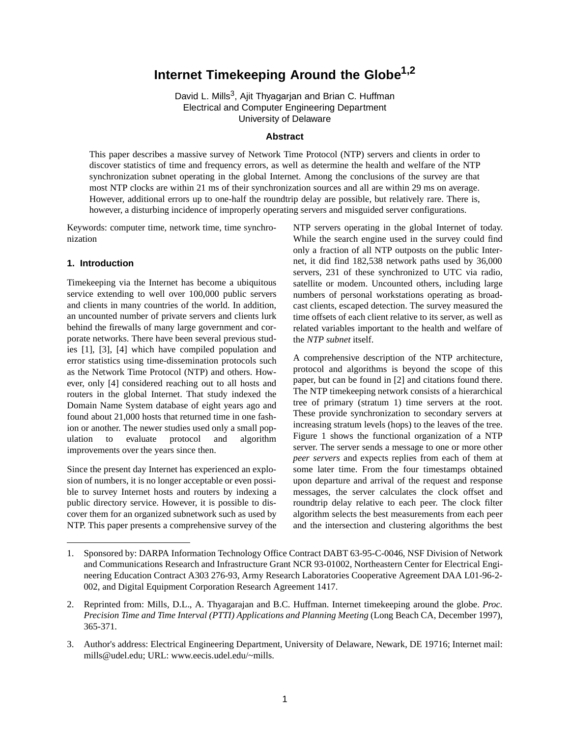# **Internet Timekeeping Around the Globe1,2**

David L. Mills<sup>3</sup>, Ajit Thyagarjan and Brian C. Huffman Electrical and Computer Engineering Department University of Delaware

## **Abstract**

This paper describes a massive survey of Network Time Protocol (NTP) servers and clients in order to discover statistics of time and frequency errors, as well as determine the health and welfare of the NTP synchronization subnet operating in the global Internet. Among the conclusions of the survey are that most NTP clocks are within 21 ms of their synchronization sources and all are within 29 ms on average. However, additional errors up to one-half the roundtrip delay are possible, but relatively rare. There is, however, a disturbing incidence of improperly operating servers and misguided server configurations.

Keywords: computer time, network time, time synchronization

## **1. Introduction**

Timekeeping via the Internet has become a ubiquitous service extending to well over 100,000 public servers and clients in many countries of the world. In addition, an uncounted number of private servers and clients lurk behind the firewalls of many large government and corporate networks. There have been several previous studies [1], [3], [4] which have compiled population and error statistics using time-dissemination protocols such as the Network Time Protocol (NTP) and others. However, only [4] considered reaching out to all hosts and routers in the global Internet. That study indexed the Domain Name System database of eight years ago and found about 21,000 hosts that returned time in one fashion or another. The newer studies used only a small population to evaluate protocol and algorithm improvements over the years since then.

Since the present day Internet has experienced an explosion of numbers, it is no longer acceptable or even possible to survey Internet hosts and routers by indexing a public directory service. However, it is possible to discover them for an organized subnetwork such as used by NTP. This paper presents a comprehensive survey of the NTP servers operating in the global Internet of today. While the search engine used in the survey could find only a fraction of all NTP outposts on the public Internet, it did find 182,538 network paths used by 36,000 servers, 231 of these synchronized to UTC via radio, satellite or modem. Uncounted others, including large numbers of personal workstations operating as broadcast clients, escaped detection. The survey measured the time offsets of each client relative to its server, as well as related variables important to the health and welfare of the *NTP subnet* itself.

A comprehensive description of the NTP architecture, protocol and algorithms is beyond the scope of this paper, but can be found in [2] and citations found there. The NTP timekeeping network consists of a hierarchical tree of primary (stratum 1) time servers at the root. These provide synchronization to secondary servers at increasing stratum levels (hops) to the leaves of the tree. Figure 1 shows the functional organization of a NTP server. The server sends a message to one or more other *peer servers* and expects replies from each of them at some later time. From the four timestamps obtained upon departure and arrival of the request and response messages, the server calculates the clock offset and roundtrip delay relative to each peer. The clock filter algorithm selects the best measurements from each peer and the intersection and clustering algorithms the best

<sup>1.</sup> Sponsored by: DARPA Information Technology Office Contract DABT 63-95-C-0046, NSF Division of Network and Communications Research and Infrastructure Grant NCR 93-01002, Northeastern Center for Electrical Engineering Education Contract A303 276-93, Army Research Laboratories Cooperative Agreement DAA L01-96-2- 002, and Digital Equipment Corporation Research Agreement 1417.

<sup>2.</sup> Reprinted from: Mills, D.L., A. Thyagarajan and B.C. Huffman. Internet timekeeping around the globe. *Proc. Precision Time and Time Interval (PTTI) Applications and Planning Meeting* (Long Beach CA, December 1997), 365-371.

<sup>3.</sup> Author's address: Electrical Engineering Department, University of Delaware, Newark, DE 19716; Internet mail: mills@udel.edu; URL: www.eecis.udel.edu/~mills.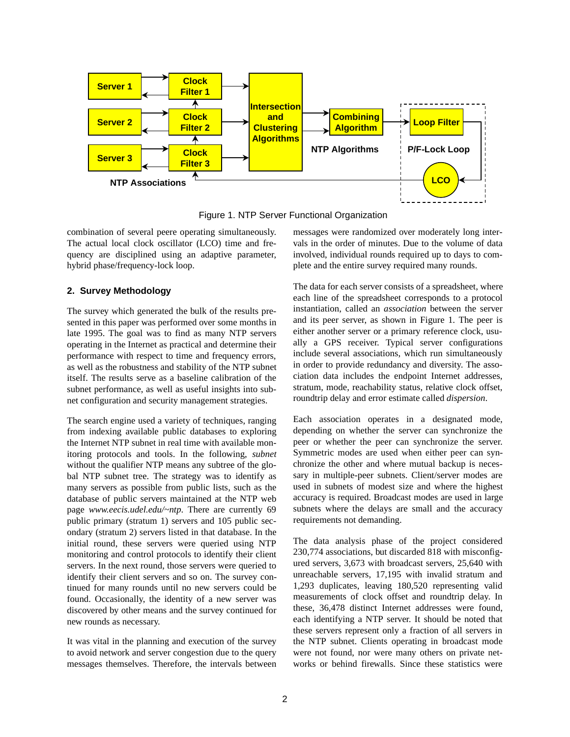

Figure 1. NTP Server Functional Organization

combination of several peere operating simultaneously. The actual local clock oscillator (LCO) time and frequency are disciplined using an adaptive parameter, hybrid phase/frequency-lock loop.

# **2. Survey Methodology**

The survey which generated the bulk of the results presented in this paper was performed over some months in late 1995. The goal was to find as many NTP servers operating in the Internet as practical and determine their performance with respect to time and frequency errors, as well as the robustness and stability of the NTP subnet itself. The results serve as a baseline calibration of the subnet performance, as well as useful insights into subnet configuration and security management strategies.

The search engine used a variety of techniques, ranging from indexing available public databases to exploring the Internet NTP subnet in real time with available monitoring protocols and tools. In the following, *subnet* without the qualifier NTP means any subtree of the global NTP subnet tree. The strategy was to identify as many servers as possible from public lists, such as the database of public servers maintained at the NTP web page *www.eecis.udel.edu/~ntp*. There are currently 69 public primary (stratum 1) servers and 105 public secondary (stratum 2) servers listed in that database. In the initial round, these servers were queried using NTP monitoring and control protocols to identify their client servers. In the next round, those servers were queried to identify their client servers and so on. The survey continued for many rounds until no new servers could be found. Occasionally, the identity of a new server was discovered by other means and the survey continued for new rounds as necessary.

It was vital in the planning and execution of the survey to avoid network and server congestion due to the query messages themselves. Therefore, the intervals between messages were randomized over moderately long intervals in the order of minutes. Due to the volume of data involved, individual rounds required up to days to complete and the entire survey required many rounds.

The data for each server consists of a spreadsheet, where each line of the spreadsheet corresponds to a protocol instantiation, called an *association* between the server and its peer server, as shown in Figure 1. The peer is either another server or a primary reference clock, usually a GPS receiver. Typical server configurations include several associations, which run simultaneously in order to provide redundancy and diversity. The association data includes the endpoint Internet addresses, stratum, mode, reachability status, relative clock offset, roundtrip delay and error estimate called *dispersion*.

Each association operates in a designated mode, depending on whether the server can synchronize the peer or whether the peer can synchronize the server. Symmetric modes are used when either peer can synchronize the other and where mutual backup is necessary in multiple-peer subnets. Client/server modes are used in subnets of modest size and where the highest accuracy is required. Broadcast modes are used in large subnets where the delays are small and the accuracy requirements not demanding.

The data analysis phase of the project considered 230,774 associations, but discarded 818 with misconfigured servers, 3,673 with broadcast servers, 25,640 with unreachable servers, 17,195 with invalid stratum and 1,293 duplicates, leaving 180,520 representing valid measurements of clock offset and roundtrip delay. In these, 36,478 distinct Internet addresses were found, each identifying a NTP server. It should be noted that these servers represent only a fraction of all servers in the NTP subnet. Clients operating in broadcast mode were not found, nor were many others on private networks or behind firewalls. Since these statistics were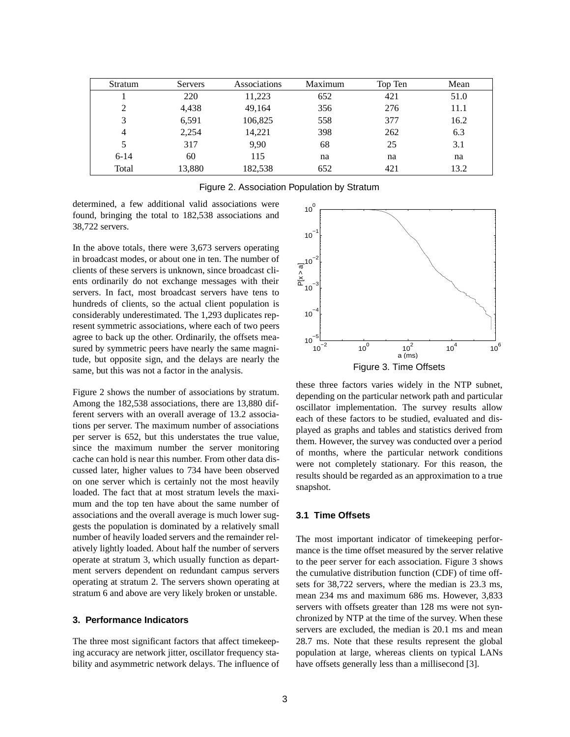| Stratum  | Servers | Associations | Maximum | Top Ten | Mean |
|----------|---------|--------------|---------|---------|------|
|          | 220     | 11,223       | 652     | 421     | 51.0 |
| 2        | 4,438   | 49,164       | 356     | 276     | 11.1 |
| 3        | 6,591   | 106,825      | 558     | 377     | 16.2 |
| 4        | 2,254   | 14,221       | 398     | 262     | 6.3  |
| 5        | 317     | 9,90         | 68      | 25      | 3.1  |
| $6 - 14$ | 60      | 115          | na      | na      | na   |
| Total    | 13,880  | 182,538      | 652     | 421     | 13.2 |

determined, a few additional valid associations were found, bringing the total to 182,538 associations and 38,722 servers.

In the above totals, there were 3,673 servers operating in broadcast modes, or about one in ten. The number of clients of these servers is unknown, since broadcast clients ordinarily do not exchange messages with their servers. In fact, most broadcast servers have tens to hundreds of clients, so the actual client population is considerably underestimated. The 1,293 duplicates represent symmetric associations, where each of two peers agree to back up the other. Ordinarily, the offsets measured by symmetric peers have nearly the same magnitude, but opposite sign, and the delays are nearly the same, but this was not a factor in the analysis.

Figure 2 shows the number of associations by stratum. Among the 182,538 associations, there are 13,880 different servers with an overall average of 13.2 associations per server. The maximum number of associations per server is 652, but this understates the true value, since the maximum number the server monitoring cache can hold is near this number. From other data discussed later, higher values to 734 have been observed on one server which is certainly not the most heavily loaded. The fact that at most stratum levels the maximum and the top ten have about the same number of associations and the overall average is much lower suggests the population is dominated by a relatively small number of heavily loaded servers and the remainder relatively lightly loaded. About half the number of servers operate at stratum 3, which usually function as department servers dependent on redundant campus servers operating at stratum 2. The servers shown operating at stratum 6 and above are very likely broken or unstable.

## **3. Performance Indicators**

The three most significant factors that affect timekeeping accuracy are network jitter, oscillator frequency stability and asymmetric network delays. The influence of



these three factors varies widely in the NTP subnet, depending on the particular network path and particular oscillator implementation. The survey results allow each of these factors to be studied, evaluated and displayed as graphs and tables and statistics derived from them. However, the survey was conducted over a period of months, where the particular network conditions were not completely stationary. For this reason, the results should be regarded as an approximation to a true snapshot.

### **3.1 Time Offsets**

The most important indicator of timekeeping performance is the time offset measured by the server relative to the peer server for each association. Figure 3 shows the cumulative distribution function (CDF) of time offsets for 38,722 servers, where the median is 23.3 ms, mean 234 ms and maximum 686 ms. However, 3,833 servers with offsets greater than 128 ms were not synchronized by NTP at the time of the survey. When these servers are excluded, the median is 20.1 ms and mean 28.7 ms. Note that these results represent the global population at large, whereas clients on typical LANs have offsets generally less than a millisecond [3].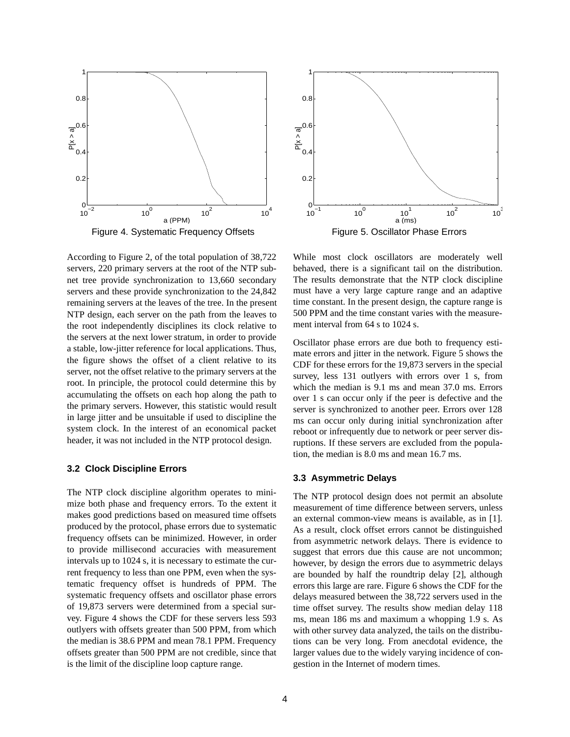

Figure 4. Systematic Frequency Offsets

According to Figure 2, of the total population of 38,722 servers, 220 primary servers at the root of the NTP subnet tree provide synchronization to 13,660 secondary servers and these provide synchronization to the 24,842 remaining servers at the leaves of the tree. In the present NTP design, each server on the path from the leaves to the root independently disciplines its clock relative to the servers at the next lower stratum, in order to provide a stable, low-jitter reference for local applications. Thus, the figure shows the offset of a client relative to its server, not the offset relative to the primary servers at the root. In principle, the protocol could determine this by accumulating the offsets on each hop along the path to the primary servers. However, this statistic would result in large jitter and be unsuitable if used to discipline the system clock. In the interest of an economical packet header, it was not included in the NTP protocol design.

#### **3.2 Clock Discipline Errors**

The NTP clock discipline algorithm operates to minimize both phase and frequency errors. To the extent it makes good predictions based on measured time offsets produced by the protocol, phase errors due to systematic frequency offsets can be minimized. However, in order to provide millisecond accuracies with measurement intervals up to 1024 s, it is necessary to estimate the current frequency to less than one PPM, even when the systematic frequency offset is hundreds of PPM. The systematic frequency offsets and oscillator phase errors of 19,873 servers were determined from a special survey. Figure 4 shows the CDF for these servers less 593 outlyers with offsets greater than 500 PPM, from which the median is 38.6 PPM and mean 78.1 PPM. Frequency offsets greater than 500 PPM are not credible, since that is the limit of the discipline loop capture range.



While most clock oscillators are moderately well behaved, there is a significant tail on the distribution. The results demonstrate that the NTP clock discipline must have a very large capture range and an adaptive time constant. In the present design, the capture range is 500 PPM and the time constant varies with the measurement interval from 64 s to 1024 s.

Oscillator phase errors are due both to frequency estimate errors and jitter in the network. Figure 5 shows the CDF for these errors for the 19,873 servers in the special survey, less 131 outlyers with errors over 1 s, from which the median is 9.1 ms and mean 37.0 ms. Errors over 1 s can occur only if the peer is defective and the server is synchronized to another peer. Errors over 128 ms can occur only during initial synchronization after reboot or infrequently due to network or peer server disruptions. If these servers are excluded from the population, the median is 8.0 ms and mean 16.7 ms.

### **3.3 Asymmetric Delays**

The NTP protocol design does not permit an absolute measurement of time difference between servers, unless an external common-view means is available, as in [1]. As a result, clock offset errors cannot be distinguished from asymmetric network delays. There is evidence to suggest that errors due this cause are not uncommon; however, by design the errors due to asymmetric delays are bounded by half the roundtrip delay [2], although errors this large are rare. Figure 6 shows the CDF for the delays measured between the 38,722 servers used in the time offset survey. The results show median delay 118 ms, mean 186 ms and maximum a whopping 1.9 s. As with other survey data analyzed, the tails on the distributions can be very long. From anecdotal evidence, the larger values due to the widely varying incidence of congestion in the Internet of modern times.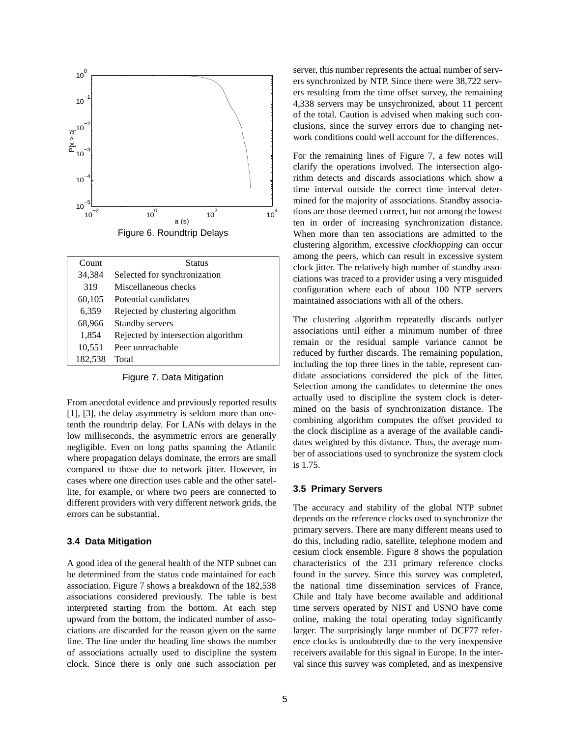

| Count   | <b>Status</b>                      |
|---------|------------------------------------|
| 34,384  | Selected for synchronization       |
| 319     | Miscellaneous checks               |
| 60,105  | Potential candidates               |
| 6,359   | Rejected by clustering algorithm   |
| 68,966  | Standby servers                    |
| 1,854   | Rejected by intersection algorithm |
| 10,551  | Peer unreachable                   |
| 182,538 | Total                              |

Figure 7. Data Mitigation

From anecdotal evidence and previously reported results [1], [3], the delay asymmetry is seldom more than onetenth the roundtrip delay. For LANs with delays in the low milliseconds, the asymmetric errors are generally negligible. Even on long paths spanning the Atlantic where propagation delays dominate, the errors are small compared to those due to network jitter. However, in cases where one direction uses cable and the other satellite, for example, or where two peers are connected to different providers with very different network grids, the errors can be substantial.

#### **3.4 Data Mitigation**

A good idea of the general health of the NTP subnet can be determined from the status code maintained for each association. Figure 7 shows a breakdown of the 182,538 associations considered previously. The table is best interpreted starting from the bottom. At each step upward from the bottom, the indicated number of associations are discarded for the reason given on the same line. The line under the heading line shows the number of associations actually used to discipline the system clock. Since there is only one such association per server, this number represents the actual number of servers synchronized by NTP. Since there were 38,722 servers resulting from the time offset survey, the remaining 4,338 servers may be unsychronized, about 11 percent of the total. Caution is advised when making such conclusions, since the survey errors due to changing network conditions could well account for the differences.

For the remaining lines of Figure 7, a few notes will clarify the operations involved. The intersection algorithm detects and discards associations which show a time interval outside the correct time interval determined for the majority of associations. Standby associations are those deemed correct, but not among the lowest ten in order of increasing synchronization distance. When more than ten associations are admitted to the clustering algorithm, excessive *clockhopping* can occur among the peers, which can result in excessive system clock jitter. The relatively high number of standby associations was traced to a provider using a very misguided configuration where each of about 100 NTP servers maintained associations with all of the others.

The clustering algorithm repeatedly discards outlyer associations until either a minimum number of three remain or the residual sample variance cannot be reduced by further discards. The remaining population, including the top three lines in the table, represent candidate associations considered the pick of the litter. Selection among the candidates to determine the ones actually used to discipline the system clock is determined on the basis of synchronization distance. The combining algorithm computes the offset provided to the clock discipline as a average of the available candidates weighted by this distance. Thus, the average number of associations used to synchronize the system clock is 1.75.

#### **3.5 Primary Servers**

The accuracy and stability of the global NTP subnet depends on the reference clocks used to synchronize the primary servers. There are many different means used to do this, including radio, satellite, telephone modem and cesium clock ensemble. Figure 8 shows the population characteristics of the 231 primary reference clocks found in the survey. Since this survey was completed, the national time dissemination services of France, Chile and Italy have become available and additional time servers operated by NIST and USNO have come online, making the total operating today significantly larger. The surprisingly large number of DCF77 reference clocks is undoubtedly due to the very inexpensive receivers available for this signal in Europe. In the interval since this survey was completed, and as inexpensive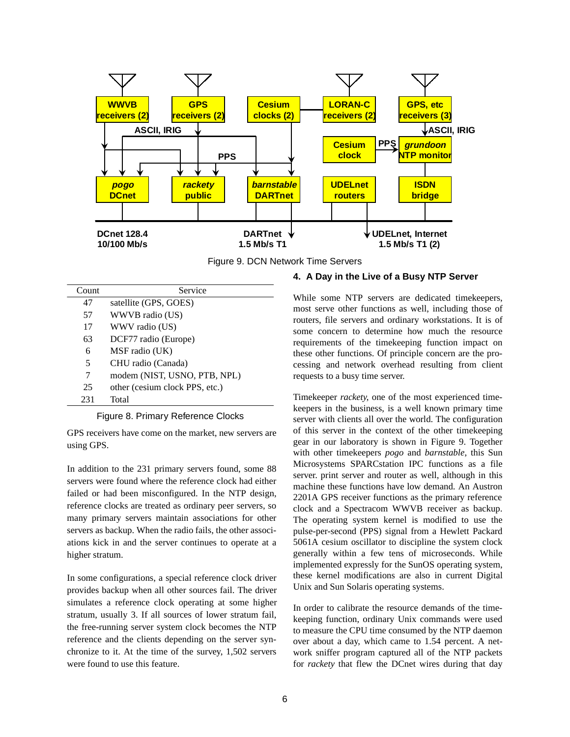



| Count | Service                        |
|-------|--------------------------------|
| 47    | satellite (GPS, GOES)          |
| 57    | WWVB radio (US)                |
| 17    | WWV radio (US)                 |
| 63    | DCF77 radio (Europe)           |
| 6     | MSF radio (UK)                 |
| 5     | CHU radio (Canada)             |
| 7     | modem (NIST, USNO, PTB, NPL)   |
| 25    | other (cesium clock PPS, etc.) |
| 231   | Total                          |

Figure 8. Primary Reference Clocks

GPS receivers have come on the market, new servers are using GPS.

In addition to the 231 primary servers found, some 88 servers were found where the reference clock had either failed or had been misconfigured. In the NTP design, reference clocks are treated as ordinary peer servers, so many primary servers maintain associations for other servers as backup. When the radio fails, the other associations kick in and the server continues to operate at a higher stratum.

In some configurations, a special reference clock driver provides backup when all other sources fail. The driver simulates a reference clock operating at some higher stratum, usually 3. If all sources of lower stratum fail, the free-running server system clock becomes the NTP reference and the clients depending on the server synchronize to it. At the time of the survey, 1,502 servers were found to use this feature.

## **4. A Day in the Live of a Busy NTP Server**

While some NTP servers are dedicated timekeepers, most serve other functions as well, including those of routers, file servers and ordinary workstations. It is of some concern to determine how much the resource requirements of the timekeeping function impact on these other functions. Of principle concern are the processing and network overhead resulting from client requests to a busy time server.

Timekeeper *rackety*, one of the most experienced timekeepers in the business, is a well known primary time server with clients all over the world. The configuration of this server in the context of the other timekeeping gear in our laboratory is shown in Figure 9. Together with other timekeepers *pogo* and *barnstable*, this Sun Microsystems SPARCstation IPC functions as a file server. print server and router as well, although in this machine these functions have low demand. An Austron 2201A GPS receiver functions as the primary reference clock and a Spectracom WWVB receiver as backup. The operating system kernel is modified to use the pulse-per-second (PPS) signal from a Hewlett Packard 5061A cesium oscillator to discipline the system clock generally within a few tens of microseconds. While implemented expressly for the SunOS operating system, these kernel modifications are also in current Digital Unix and Sun Solaris operating systems.

In order to calibrate the resource demands of the timekeeping function, ordinary Unix commands were used to measure the CPU time consumed by the NTP daemon over about a day, which came to 1.54 percent. A network sniffer program captured all of the NTP packets for *rackety* that flew the DCnet wires during that day